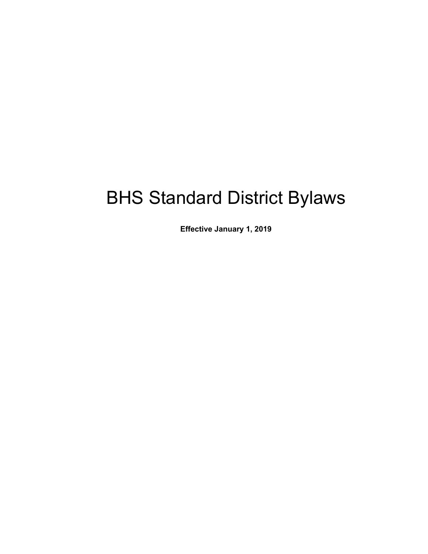# BHS Standard District Bylaws

**Effective January 1, 2019**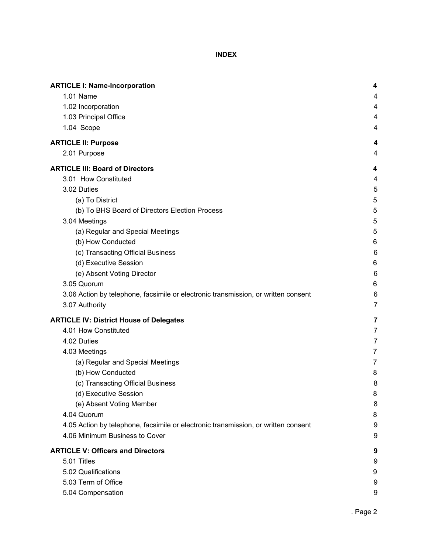**INDEX**

| <b>ARTICLE I: Name-Incorporation</b>                                               | 4              |
|------------------------------------------------------------------------------------|----------------|
| 1.01 Name                                                                          | 4              |
| 1.02 Incorporation                                                                 | 4              |
| 1.03 Principal Office                                                              | 4              |
| 1.04 Scope                                                                         | 4              |
| <b>ARTICLE II: Purpose</b>                                                         | 4              |
| 2.01 Purpose                                                                       | 4              |
| <b>ARTICLE III: Board of Directors</b>                                             | 4              |
| 3.01 How Constituted                                                               | 4              |
| 3.02 Duties                                                                        | 5              |
| (a) To District                                                                    | 5              |
| (b) To BHS Board of Directors Election Process                                     | 5              |
| 3.04 Meetings                                                                      | 5              |
| (a) Regular and Special Meetings                                                   | 5              |
| (b) How Conducted                                                                  | 6              |
| (c) Transacting Official Business                                                  | 6              |
| (d) Executive Session                                                              | 6              |
| (e) Absent Voting Director                                                         | 6              |
| 3.05 Quorum                                                                        | 6              |
| 3.06 Action by telephone, facsimile or electronic transmission, or written consent | 6              |
| 3.07 Authority                                                                     | $\overline{7}$ |
| <b>ARTICLE IV: District House of Delegates</b>                                     | 7              |
| 4.01 How Constituted                                                               | 7              |
| 4.02 Duties                                                                        | 7              |
| 4.03 Meetings                                                                      | $\overline{7}$ |
| (a) Regular and Special Meetings                                                   | $\overline{7}$ |
| (b) How Conducted                                                                  | 8              |
| (c) Transacting Official Business                                                  | 8              |
| (d) Executive Session                                                              | 8              |
| (e) Absent Voting Member                                                           | 8              |
| 4.04 Quorum                                                                        | 8              |
| 4.05 Action by telephone, facsimile or electronic transmission, or written consent | 9              |
| 4.06 Minimum Business to Cover                                                     | 9              |
| <b>ARTICLE V: Officers and Directors</b>                                           | 9              |
| 5.01 Titles                                                                        | 9              |
| 5.02 Qualifications                                                                | 9              |
| 5.03 Term of Office                                                                | 9              |
| 5.04 Compensation                                                                  | 9              |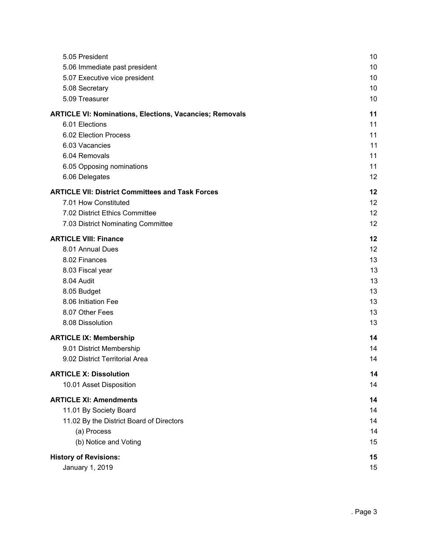| 5.05 President                                                 | 10 |
|----------------------------------------------------------------|----|
| 5.06 Immediate past president                                  | 10 |
| 5.07 Executive vice president                                  | 10 |
| 5.08 Secretary                                                 | 10 |
| 5.09 Treasurer                                                 | 10 |
| <b>ARTICLE VI: Nominations, Elections, Vacancies; Removals</b> | 11 |
| 6.01 Elections                                                 | 11 |
| 6.02 Election Process                                          | 11 |
| 6.03 Vacancies                                                 | 11 |
| 6.04 Removals                                                  | 11 |
| 6.05 Opposing nominations                                      | 11 |
| 6.06 Delegates                                                 | 12 |
| <b>ARTICLE VII: District Committees and Task Forces</b>        | 12 |
| 7.01 How Constituted                                           | 12 |
| 7.02 District Ethics Committee                                 | 12 |
| 7.03 District Nominating Committee                             | 12 |
| <b>ARTICLE VIII: Finance</b>                                   | 12 |
| 8.01 Annual Dues                                               | 12 |
| 8.02 Finances                                                  | 13 |
| 8.03 Fiscal year                                               | 13 |
| 8.04 Audit                                                     | 13 |
| 8.05 Budget                                                    | 13 |
| 8.06 Initiation Fee                                            | 13 |
| 8.07 Other Fees                                                | 13 |
| 8.08 Dissolution                                               | 13 |
| <b>ARTICLE IX: Membership</b>                                  | 14 |
| 9.01 District Membership                                       | 14 |
| 9.02 District Territorial Area                                 | 14 |
| <b>ARTICLE X: Dissolution</b>                                  | 14 |
| 10.01 Asset Disposition                                        | 14 |
| <b>ARTICLE XI: Amendments</b>                                  | 14 |
| 11.01 By Society Board                                         | 14 |
| 11.02 By the District Board of Directors                       | 14 |
| (a) Process                                                    | 14 |
| (b) Notice and Voting                                          | 15 |
| <b>History of Revisions:</b>                                   | 15 |
| January 1, 2019                                                | 15 |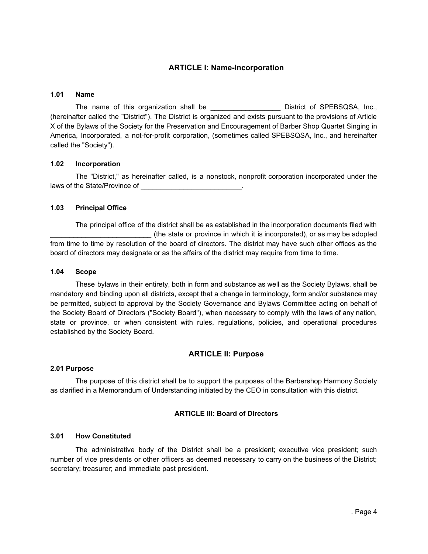# **ARTICLE I: Name-Incorporation**

## <span id="page-3-1"></span><span id="page-3-0"></span>**1.01 Name**

The name of this organization shall be \_\_\_\_\_\_\_\_\_\_\_\_\_\_\_\_\_\_\_\_\_ District of SPEBSQSA, Inc., (hereinafter called the "District"). The District is organized and exists pursuant to the provisions of Article X of the Bylaws of the Society for the Preservation and Encouragement of Barber Shop Quartet Singing in America, Incorporated, a not-for-profit corporation, (sometimes called SPEBSQSA, Inc., and hereinafter called the "Society").

## <span id="page-3-2"></span>**1.02 Incorporation**

The "District," as hereinafter called, is a nonstock, nonprofit corporation incorporated under the laws of the State/Province of  $\blacksquare$ 

# <span id="page-3-3"></span>**1.03 Principal Office**

The principal office of the district shall be as established in the incorporation documents filed with (the state or province in which it is incorporated), or as may be adopted from time to time by resolution of the board of directors. The district may have such other offices as the board of directors may designate or as the affairs of the district may require from time to time.

## <span id="page-3-4"></span>**1.04 Scope**

These bylaws in their entirety, both in form and substance as well as the Society Bylaws, shall be mandatory and binding upon all districts, except that a change in terminology, form and/or substance may be permitted, subject to approval by the Society Governance and Bylaws Committee acting on behalf of the Society Board of Directors ("Society Board"), when necessary to comply with the laws of any nation, state or province, or when consistent with rules, regulations, policies, and operational procedures established by the Society Board.

# **ARTICLE II: Purpose**

## <span id="page-3-6"></span><span id="page-3-5"></span>**2.01 Purpose**

<span id="page-3-7"></span>The purpose of this district shall be to support the purposes of the Barbershop Harmony Society as clarified in a Memorandum of Understanding initiated by the CEO in consultation with this district.

# **ARTICLE III: Board of Directors**

## <span id="page-3-8"></span>**3.01 How Constituted**

The administrative body of the District shall be a president; executive vice president; such number of vice presidents or other officers as deemed necessary to carry on the business of the District; secretary; treasurer; and immediate past president.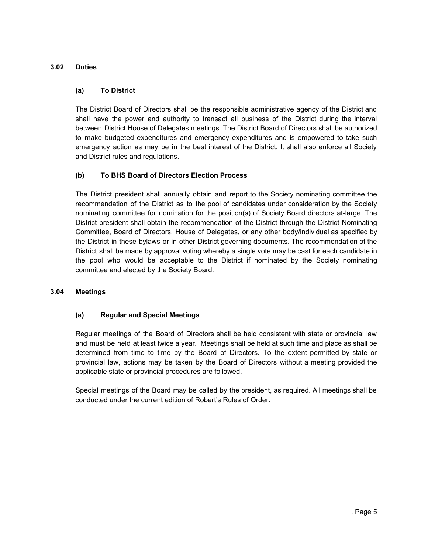# <span id="page-4-1"></span><span id="page-4-0"></span>**3.02 Duties**

## **(a) To District**

The District Board of Directors shall be the responsible administrative agency of the District and shall have the power and authority to transact all business of the District during the interval between District House of Delegates meetings. The District Board of Directors shall be authorized to make budgeted expenditures and emergency expenditures and is empowered to take such emergency action as may be in the best interest of the District. It shall also enforce all Society and District rules and regulations.

# <span id="page-4-2"></span>**(b) To BHS Board of Directors Election Process**

The District president shall annually obtain and report to the Society nominating committee the recommendation of the District as to the pool of candidates under consideration by the Society nominating committee for nomination for the position(s) of Society Board directors at-large. The District president shall obtain the recommendation of the District through the District Nominating Committee, Board of Directors, House of Delegates, or any other body/individual as specified by the District in these bylaws or in other District governing documents. The recommendation of the District shall be made by approval voting whereby a single vote may be cast for each candidate in the pool who would be acceptable to the District if nominated by the Society nominating committee and elected by the Society Board.

## <span id="page-4-4"></span><span id="page-4-3"></span>**3.04 Meetings**

# **(a) Regular and Special Meetings**

Regular meetings of the Board of Directors shall be held consistent with state or provincial law and must be held at least twice a year. Meetings shall be held at such time and place as shall be determined from time to time by the Board of Directors. To the extent permitted by state or provincial law, actions may be taken by the Board of Directors without a meeting provided the applicable state or provincial procedures are followed.

Special meetings of the Board may be called by the president, as required. All meetings shall be conducted under the current edition of Robert's Rules of Order.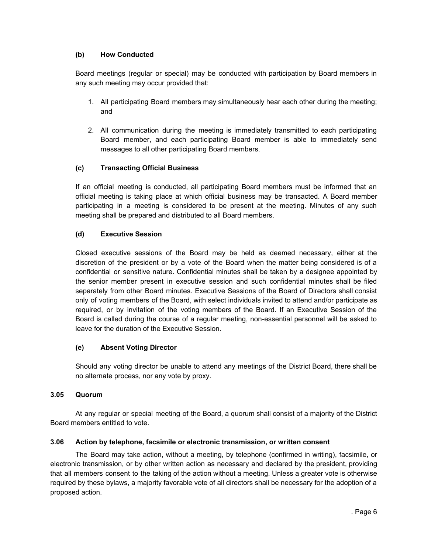# <span id="page-5-0"></span>**(b) How Conducted**

Board meetings (regular or special) may be conducted with participation by Board members in any such meeting may occur provided that:

- 1. All participating Board members may simultaneously hear each other during the meeting; and
- 2. All communication during the meeting is immediately transmitted to each participating Board member, and each participating Board member is able to immediately send messages to all other participating Board members.

# <span id="page-5-1"></span>**(c) Transacting Official Business**

If an official meeting is conducted, all participating Board members must be informed that an official meeting is taking place at which official business may be transacted. A Board member participating in a meeting is considered to be present at the meeting. Minutes of any such meeting shall be prepared and distributed to all Board members.

# <span id="page-5-2"></span>**(d) Executive Session**

Closed executive sessions of the Board may be held as deemed necessary, either at the discretion of the president or by a vote of the Board when the matter being considered is of a confidential or sensitive nature. Confidential minutes shall be taken by a designee appointed by the senior member present in executive session and such confidential minutes shall be filed separately from other Board minutes. Executive Sessions of the Board of Directors shall consist only of voting members of the Board, with select individuals invited to attend and/or participate as required, or by invitation of the voting members of the Board. If an Executive Session of the Board is called during the course of a regular meeting, non-essential personnel will be asked to leave for the duration of the Executive Session.

# <span id="page-5-3"></span>**(e) Absent Voting Director**

Should any voting director be unable to attend any meetings of the District Board, there shall be no alternate process, nor any vote by proxy.

# <span id="page-5-4"></span>**3.05 Quorum**

At any regular or special meeting of the Board, a quorum shall consist of a majority of the District Board members entitled to vote.

# <span id="page-5-5"></span>**3.06 Action by telephone, facsimile or electronic transmission, or written consent**

The Board may take action, without a meeting, by telephone (confirmed in writing), facsimile, or electronic transmission, or by other written action as necessary and declared by the president, providing that all members consent to the taking of the action without a meeting. Unless a greater vote is otherwise required by these bylaws, a majority favorable vote of all directors shall be necessary for the adoption of a proposed action.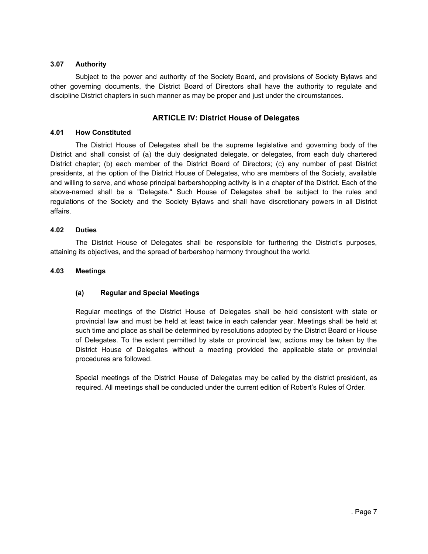## <span id="page-6-0"></span>**3.07 Authority**

<span id="page-6-1"></span>Subject to the power and authority of the Society Board, and provisions of Society Bylaws and other governing documents, the District Board of Directors shall have the authority to regulate and discipline District chapters in such manner as may be proper and just under the circumstances.

# **ARTICLE IV: District House of Delegates**

## <span id="page-6-2"></span>**4.01 How Constituted**

The District House of Delegates shall be the supreme legislative and governing body of the District and shall consist of (a) the duly designated delegate, or delegates, from each duly chartered District chapter; (b) each member of the District Board of Directors; (c) any number of past District presidents, at the option of the District House of Delegates, who are members of the Society, available and willing to serve, and whose principal barbershopping activity is in a chapter of the District. Each of the above-named shall be a "Delegate." Such House of Delegates shall be subject to the rules and regulations of the Society and the Society Bylaws and shall have discretionary powers in all District affairs.

## <span id="page-6-3"></span>**4.02 Duties**

The District House of Delegates shall be responsible for furthering the District's purposes, attaining its objectives, and the spread of barbershop harmony throughout the world.

## <span id="page-6-5"></span><span id="page-6-4"></span>**4.03 Meetings**

# **(a) Regular and Special Meetings**

Regular meetings of the District House of Delegates shall be held consistent with state or provincial law and must be held at least twice in each calendar year. Meetings shall be held at such time and place as shall be determined by resolutions adopted by the District Board or House of Delegates. To the extent permitted by state or provincial law, actions may be taken by the District House of Delegates without a meeting provided the applicable state or provincial procedures are followed.

Special meetings of the District House of Delegates may be called by the district president, as required. All meetings shall be conducted under the current edition of Robert's Rules of Order.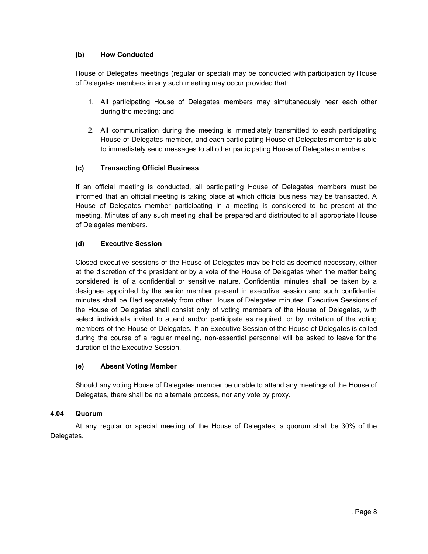# <span id="page-7-0"></span>**(b) How Conducted**

House of Delegates meetings (regular or special) may be conducted with participation by House of Delegates members in any such meeting may occur provided that:

- 1. All participating House of Delegates members may simultaneously hear each other during the meeting; and
- 2. All communication during the meeting is immediately transmitted to each participating House of Delegates member, and each participating House of Delegates member is able to immediately send messages to all other participating House of Delegates members.

# <span id="page-7-1"></span>**(c) Transacting Official Business**

If an official meeting is conducted, all participating House of Delegates members must be informed that an official meeting is taking place at which official business may be transacted. A House of Delegates member participating in a meeting is considered to be present at the meeting. Minutes of any such meeting shall be prepared and distributed to all appropriate House of Delegates members.

# <span id="page-7-2"></span>**(d) Executive Session**

Closed executive sessions of the House of Delegates may be held as deemed necessary, either at the discretion of the president or by a vote of the House of Delegates when the matter being considered is of a confidential or sensitive nature. Confidential minutes shall be taken by a designee appointed by the senior member present in executive session and such confidential minutes shall be filed separately from other House of Delegates minutes. Executive Sessions of the House of Delegates shall consist only of voting members of the House of Delegates, with select individuals invited to attend and/or participate as required, or by invitation of the voting members of the House of Delegates. If an Executive Session of the House of Delegates is called during the course of a regular meeting, non-essential personnel will be asked to leave for the duration of the Executive Session.

# <span id="page-7-3"></span>**(e) Absent Voting Member**

Should any voting House of Delegates member be unable to attend any meetings of the House of Delegates, there shall be no alternate process, nor any vote by proxy.

## <span id="page-7-4"></span>. **4.04 Quorum**

At any regular or special meeting of the House of Delegates, a quorum shall be 30% of the Delegates.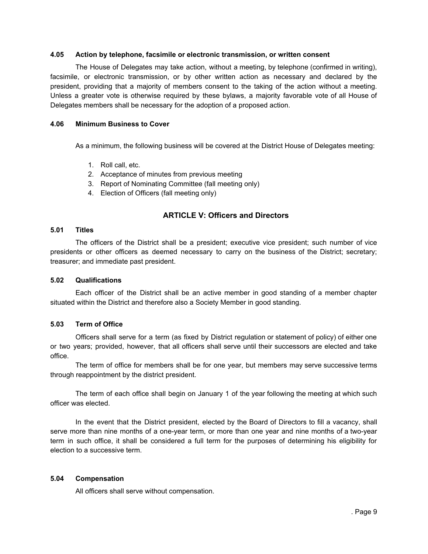#### <span id="page-8-0"></span>**4.05 Action by telephone, facsimile or electronic transmission, or written consent**

The House of Delegates may take action, without a meeting, by telephone (confirmed in writing), facsimile, or electronic transmission, or by other written action as necessary and declared by the president, providing that a majority of members consent to the taking of the action without a meeting. Unless a greater vote is otherwise required by these bylaws, a majority favorable vote of all House of Delegates members shall be necessary for the adoption of a proposed action.

#### <span id="page-8-1"></span>**4.06 Minimum Business to Cover**

As a minimum, the following business will be covered at the District House of Delegates meeting:

- 1. Roll call, etc.
- 2. Acceptance of minutes from previous meeting
- 3. Report of Nominating Committee (fall meeting only)
- 4. Election of Officers (fall meeting only)

# **ARTICLE V: Officers and Directors**

#### <span id="page-8-3"></span><span id="page-8-2"></span>**5.01 Titles**

The officers of the District shall be a president; executive vice president; such number of vice presidents or other officers as deemed necessary to carry on the business of the District; secretary; treasurer; and immediate past president.

#### <span id="page-8-4"></span>**5.02 Qualifications**

Each officer of the District shall be an active member in good standing of a member chapter situated within the District and therefore also a Society Member in good standing.

## <span id="page-8-5"></span>**5.03 Term of Office**

Officers shall serve for a term (as fixed by District regulation or statement of policy) of either one or two years; provided, however, that all officers shall serve until their successors are elected and take office.

The term of office for members shall be for one year, but members may serve successive terms through reappointment by the district president.

The term of each office shall begin on January 1 of the year following the meeting at which such officer was elected.

In the event that the District president, elected by the Board of Directors to fill a vacancy, shall serve more than nine months of a one-year term, or more than one year and nine months of a two-year term in such office, it shall be considered a full term for the purposes of determining his eligibility for election to a successive term.

## <span id="page-8-6"></span>**5.04 Compensation**

All officers shall serve without compensation.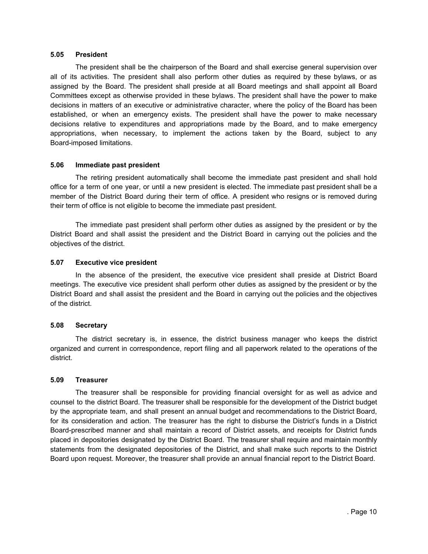## <span id="page-9-0"></span>**5.05 President**

The president shall be the chairperson of the Board and shall exercise general supervision over all of its activities. The president shall also perform other duties as required by these bylaws, or as assigned by the Board. The president shall preside at all Board meetings and shall appoint all Board Committees except as otherwise provided in these bylaws. The president shall have the power to make decisions in matters of an executive or administrative character, where the policy of the Board has been established, or when an emergency exists. The president shall have the power to make necessary decisions relative to expenditures and appropriations made by the Board, and to make emergency appropriations, when necessary, to implement the actions taken by the Board, subject to any Board-imposed limitations.

## <span id="page-9-1"></span>**5.06 Immediate past president**

The retiring president automatically shall become the immediate past president and shall hold office for a term of one year, or until a new president is elected. The immediate past president shall be a member of the District Board during their term of office. A president who resigns or is removed during their term of office is not eligible to become the immediate past president.

The immediate past president shall perform other duties as assigned by the president or by the District Board and shall assist the president and the District Board in carrying out the policies and the objectives of the district.

## <span id="page-9-2"></span>**5.07 Executive vice president**

In the absence of the president, the executive vice president shall preside at District Board meetings. The executive vice president shall perform other duties as assigned by the president or by the District Board and shall assist the president and the Board in carrying out the policies and the objectives of the district.

## <span id="page-9-3"></span>**5.08 Secretary**

The district secretary is, in essence, the district business manager who keeps the district organized and current in correspondence, report filing and all paperwork related to the operations of the district.

## <span id="page-9-4"></span>**5.09 Treasurer**

The treasurer shall be responsible for providing financial oversight for as well as advice and counsel to the district Board. The treasurer shall be responsible for the development of the District budget by the appropriate team, and shall present an annual budget and recommendations to the District Board, for its consideration and action. The treasurer has the right to disburse the District's funds in a District Board-prescribed manner and shall maintain a record of District assets, and receipts for District funds placed in depositories designated by the District Board. The treasurer shall require and maintain monthly statements from the designated depositories of the District, and shall make such reports to the District Board upon request. Moreover, the treasurer shall provide an annual financial report to the District Board.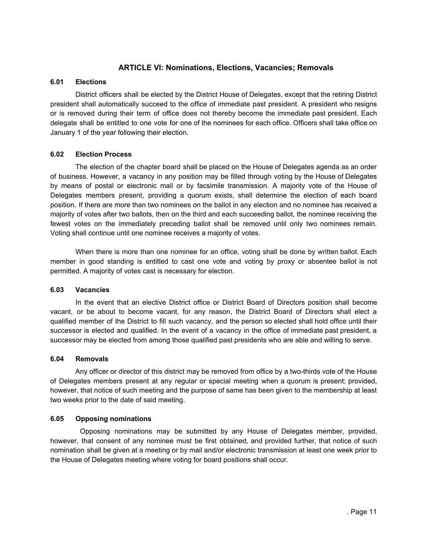# **ARTICLE VI: Nominations, Elections, Vacancies; Removals**

## <span id="page-10-1"></span><span id="page-10-0"></span>**6.01 Elections**

District officers shall be elected by the District House of Delegates, except that the retiring District president shall automatically succeed to the office of immediate past president. A president who resigns or is removed during their term of office does not thereby become the immediate past president. Each delegate shall be entitled to one vote for one of the nominees for each office. Officers shall take office on January 1 of the year following their election.

## <span id="page-10-2"></span>**6.02 Election Process**

The election of the chapter board shall be placed on the House of Delegates agenda as an order of business. However, a vacancy in any position may be filled through voting by the House of Delegates by means of postal or electronic mail or by facsimile transmission. A majority vote of the House of Delegates members present, providing a quorum exists, shall determine the election of each board position. If there are more than two nominees on the ballot in any election and no nominee has received a majority of votes after two ballots, then on the third and each succeeding ballot, the nominee receiving the fewest votes on the immediately preceding ballot shall be removed until only two nominees remain. Voting shall continue until one nominee receives a majority of votes.

When there is more than one nominee for an office, voting shall be done by written ballot. Each member in good standing is entitled to cast one vote and voting by proxy or absentee ballot is not permitted. A majority of votes cast is necessary for election.

## <span id="page-10-3"></span>**6.03 Vacancies**

In the event that an elective District office or District Board of Directors position shall become vacant, or be about to become vacant, for any reason, the District Board of Directors shall elect a qualified member of the District to fill such vacancy, and the person so elected shall hold office until their successor is elected and qualified. In the event of a vacancy in the office of immediate past president, a successor may be elected from among those qualified past presidents who are able and willing to serve.

## <span id="page-10-4"></span>**6.04 Removals**

Any officer or director of this district may be removed from office by a two-thirds vote of the House of Delegates members present at any regular or special meeting when a quorum is present; provided, however, that notice of such meeting and the purpose of same has been given to the membership at least two weeks prior to the date of said meeting.

## <span id="page-10-5"></span>**6.05 Opposing nominations**

Opposing nominations may be submitted by any House of Delegates member, provided, however, that consent of any nominee must be first obtained, and provided further, that notice of such nomination shall be given at a meeting or by mail and/or electronic transmission at least one week prior to the House of Delegates meeting where voting for board positions shall occur.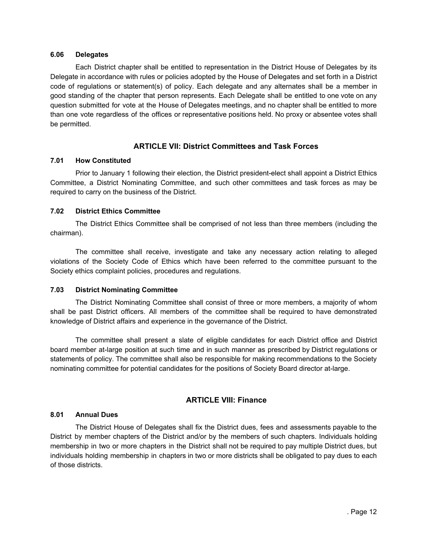#### <span id="page-11-0"></span>**6.06 Delegates**

Each District chapter shall be entitled to representation in the District House of Delegates by its Delegate in accordance with rules or policies adopted by the House of Delegates and set forth in a District code of regulations or statement(s) of policy. Each delegate and any alternates shall be a member in good standing of the chapter that person represents. Each Delegate shall be entitled to one vote on any question submitted for vote at the House of Delegates meetings, and no chapter shall be entitled to more than one vote regardless of the offices or representative positions held. No proxy or absentee votes shall be permitted.

# **ARTICLE VII: District Committees and Task Forces**

## <span id="page-11-2"></span><span id="page-11-1"></span>**7.01 How Constituted**

Prior to January 1 following their election, the District president-elect shall appoint a District Ethics Committee, a District Nominating Committee, and such other committees and task forces as may be required to carry on the business of the District.

## <span id="page-11-3"></span>**7.02 District Ethics Committee**

The District Ethics Committee shall be comprised of not less than three members (including the chairman).

The committee shall receive, investigate and take any necessary action relating to alleged violations of the Society Code of Ethics which have been referred to the committee pursuant to the Society ethics complaint policies, procedures and regulations.

## <span id="page-11-4"></span>**7.03 District Nominating Committee**

The District Nominating Committee shall consist of three or more members, a majority of whom shall be past District officers. All members of the committee shall be required to have demonstrated knowledge of District affairs and experience in the governance of the District.

The committee shall present a slate of eligible candidates for each District office and District board member at-large position at such time and in such manner as prescribed by District regulations or statements of policy. The committee shall also be responsible for making recommendations to the Society nominating committee for potential candidates for the positions of Society Board director at-large.

# **ARTICLE VIII: Finance**

## <span id="page-11-6"></span><span id="page-11-5"></span>**8.01 Annual Dues**

The District House of Delegates shall fix the District dues, fees and assessments payable to the District by member chapters of the District and/or by the members of such chapters. Individuals holding membership in two or more chapters in the District shall not be required to pay multiple District dues, but individuals holding membership in chapters in two or more districts shall be obligated to pay dues to each of those districts.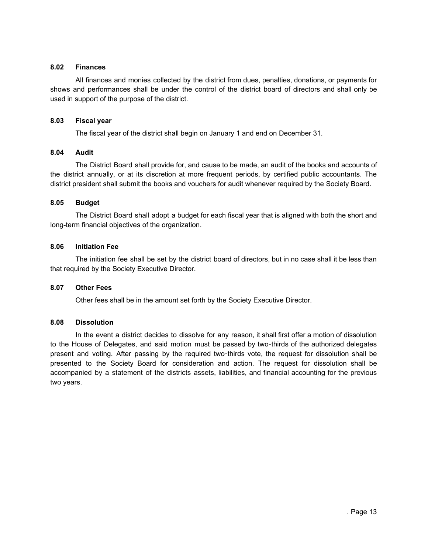## <span id="page-12-0"></span>**8.02 Finances**

All finances and monies collected by the district from dues, penalties, donations, or payments for shows and performances shall be under the control of the district board of directors and shall only be used in support of the purpose of the district.

## <span id="page-12-1"></span>**8.03 Fiscal year**

The fiscal year of the district shall begin on January 1 and end on December 31.

## <span id="page-12-2"></span>**8.04 Audit**

The District Board shall provide for, and cause to be made, an audit of the books and accounts of the district annually, or at its discretion at more frequent periods, by certified public accountants. The district president shall submit the books and vouchers for audit whenever required by the Society Board.

## <span id="page-12-3"></span>**8.05 Budget**

The District Board shall adopt a budget for each fiscal year that is aligned with both the short and long-term financial objectives of the organization.

## <span id="page-12-4"></span>**8.06 Initiation Fee**

The initiation fee shall be set by the district board of directors, but in no case shall it be less than that required by the Society Executive Director.

## <span id="page-12-5"></span>**8.07 Other Fees**

Other fees shall be in the amount set forth by the Society Executive Director.

## <span id="page-12-6"></span>**8.08 Dissolution**

In the event a district decides to dissolve for any reason, it shall first offer a motion of dissolution to the House of Delegates, and said motion must be passed by two-thirds of the authorized delegates present and voting. After passing by the required two-thirds vote, the request for dissolution shall be presented to the Society Board for consideration and action. The request for dissolution shall be accompanied by a statement of the districts assets, liabilities, and financial accounting for the previous two years.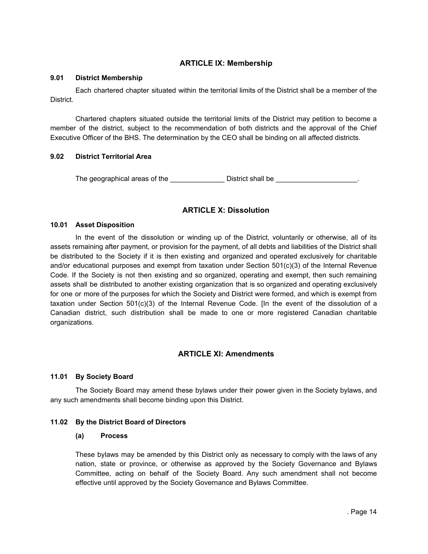# **ARTICLE IX: Membership**

## <span id="page-13-1"></span><span id="page-13-0"></span>**9.01 District Membership**

Each chartered chapter situated within the territorial limits of the District shall be a member of the District.

Chartered chapters situated outside the territorial limits of the District may petition to become a member of the district, subject to the recommendation of both districts and the approval of the Chief Executive Officer of the BHS. The determination by the CEO shall be binding on all affected districts.

# <span id="page-13-2"></span>**9.02 District Territorial Area**

The geographical areas of the \_\_\_\_\_\_\_\_\_\_\_\_\_\_\_\_District shall be \_\_\_\_\_\_\_\_\_\_\_\_\_\_\_\_

# **ARTICLE X: Dissolution**

## <span id="page-13-4"></span><span id="page-13-3"></span>**10.01 Asset Disposition**

In the event of the dissolution or winding up of the District, voluntarily or otherwise, all of its assets remaining after payment, or provision for the payment, of all debts and liabilities of the District shall be distributed to the Society if it is then existing and organized and operated exclusively for charitable and/or educational purposes and exempt from taxation under Section 501(c)(3) of the Internal Revenue Code. If the Society is not then existing and so organized, operating and exempt, then such remaining assets shall be distributed to another existing organization that is so organized and operating exclusively for one or more of the purposes for which the Society and District were formed, and which is exempt from taxation under Section 501(c)(3) of the Internal Revenue Code. [In the event of the dissolution of a Canadian district, such distribution shall be made to one or more registered Canadian charitable organizations.

# **ARTICLE XI: Amendments**

## <span id="page-13-6"></span><span id="page-13-5"></span>**11.01 By Society Board**

The Society Board may amend these bylaws under their power given in the Society bylaws, and any such amendments shall become binding upon this District.

## <span id="page-13-8"></span><span id="page-13-7"></span>**11.02 By the District Board of Directors**

## **(a) Process**

These bylaws may be amended by this District only as necessary to comply with the laws of any nation, state or province, or otherwise as approved by the Society Governance and Bylaws Committee, acting on behalf of the Society Board. Any such amendment shall not become effective until approved by the Society Governance and Bylaws Committee.